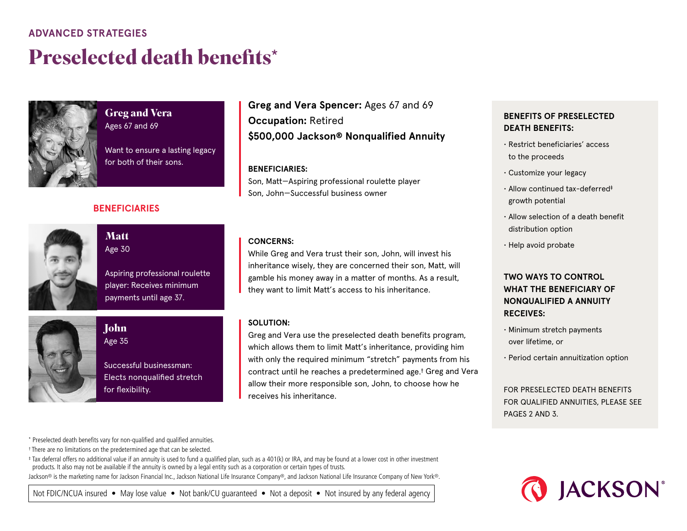## **ADVANCED STRATEGIES**

# **Preselected death benefits**\*



### **Greg and Vera** Ages 67 and 69

Want to ensure a lasting legacy for both of their sons.

### **BENEFICIARIES**



**Matt** Age 30

Aspiring professional roulette player: Receives minimum payments until age 37.



## **John** Age 35

Successful businessman: Elects nonqualified stretch for flexibility.

# **Greg and Vera Spencer:** Ages 67 and 69 **Occupation:** Retired **\$500,000 Jackson® Nonqualified Annuity**

#### **BENEFICIARIES:**

Son, Matt—Aspiring professional roulette player Son, John—Successful business owner

#### **CONCERNS:**

While Greg and Vera trust their son, John, will invest his inheritance wisely, they are concerned their son, Matt, will gamble his money away in a matter of months. As a result, they want to limit Matt's access to his inheritance.

#### **SOLUTION:**

Greg and Vera use the preselected death benefits program, which allows them to limit Matt's inheritance, providing him with only the required minimum "stretch" payments from his contract until he reaches a predetermined age.† Greg and Vera allow their more responsible son, John, to choose how he receives his inheritance.

### **BENEFITS OF PRESELECTED DEATH BENEFITS:**

- Restrict beneficiaries' access to the proceeds
- Customize your legacy
- Allow continued tax-deferred‡ growth potential
- Allow selection of a death benefit distribution option
- Help avoid probate

### **TWO WAYS TO CONTROL WHAT THE BENEFICIARY OF NONQUALIFIED A ANNUITY RECEIVES:**

- Minimum stretch payments over lifetime, or
- Period certain annuitization option

FOR PRESELECTED DEATH BENEFITS FOR QUALIFIED ANNUITIES, PLEASE SEE PAGES 2 AND 3.

\* Preselected death benefits vary for non-qualified and qualified annuities.

† There are no limitations on the predetermined age that can be selected.

‡ Tax deferral offers no additional value if an annuity is used to fund a qualified plan, such as a 401(k) or IRA, and may be found at a lower cost in other investment products. It also may not be available if the annuity is owned by a legal entity such as a corporation or certain types of trusts.

Jackson® is the marketing name for Jackson Financial Inc., Jackson National Life Insurance Company®, and Jackson National Life Insurance Company of New York®.

**O** JACKSON®

Not FDIC/NCUA insured • May lose value • Not bank/CU quaranteed • Not a deposit • Not insured by any federal agency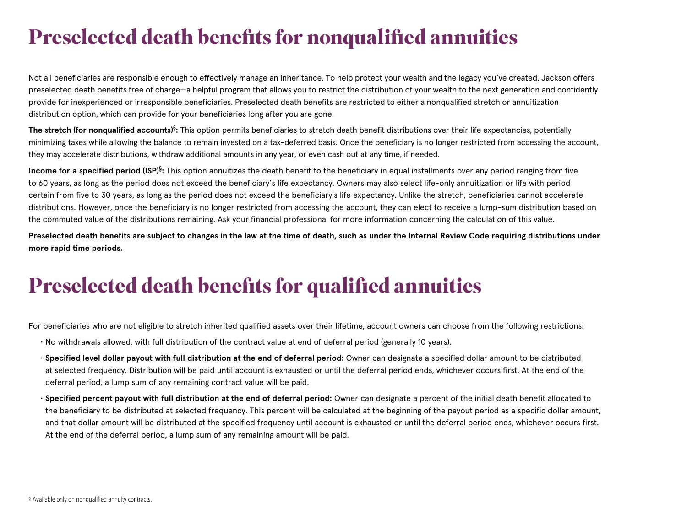# **Preselected death benefits for nonqualified annuities**

Not all beneficiaries are responsible enough to effectively manage an inheritance. To help protect your wealth and the legacy you've created, Jackson offers preselected death benefits free of charge—a helpful program that allows you to restrict the distribution of your wealth to the next generation and confidently provide for inexperienced or irresponsible beneficiaries. Preselected death benefits are restricted to either a nonqualified stretch or annuitization distribution option, which can provide for your beneficiaries long after you are gone.

**The stretch (for nonqualified accounts)§ :** This option permits beneficiaries to stretch death benefit distributions over their life expectancies, potentially minimizing taxes while allowing the balance to remain invested on a tax-deferred basis. Once the beneficiary is no longer restricted from accessing the account, they may accelerate distributions, withdraw additional amounts in any year, or even cash out at any time, if needed.

**Income for a specified period (ISP)<sup>§</sup>:** This option annuitizes the death benefit to the beneficiary in equal installments over any period ranging from five to 60 years, as long as the period does not exceed the beneficiary's life expectancy. Owners may also select life-only annuitization or life with period certain from five to 30 years, as long as the period does not exceed the beneficiary's life expectancy. Unlike the stretch, beneficiaries cannot accelerate distributions. However, once the beneficiary is no longer restricted from accessing the account, they can elect to receive a lump-sum distribution based on the commuted value of the distributions remaining. Ask your financial professional for more information concerning the calculation of this value.

**Preselected death benefits are subject to changes in the law at the time of death, such as under the Internal Review Code requiring distributions under more rapid time periods.**

# **Preselected death benefits for qualified annuities**

For beneficiaries who are not eligible to stretch inherited qualified assets over their lifetime, account owners can choose from the following restrictions:

- No withdrawals allowed, with full distribution of the contract value at end of deferral period (generally 10 years).
- **Specified level dollar payout with full distribution at the end of deferral period:** Owner can designate a specified dollar amount to be distributed at selected frequency. Distribution will be paid until account is exhausted or until the deferral period ends, whichever occurs first. At the end of the deferral period, a lump sum of any remaining contract value will be paid.
- **Specified percent payout with full distribution at the end of deferral period:** Owner can designate a percent of the initial death benefit allocated to the beneficiary to be distributed at selected frequency. This percent will be calculated at the beginning of the payout period as a specific dollar amount, and that dollar amount will be distributed at the specified frequency until account is exhausted or until the deferral period ends, whichever occurs first. At the end of the deferral period, a lump sum of any remaining amount will be paid.